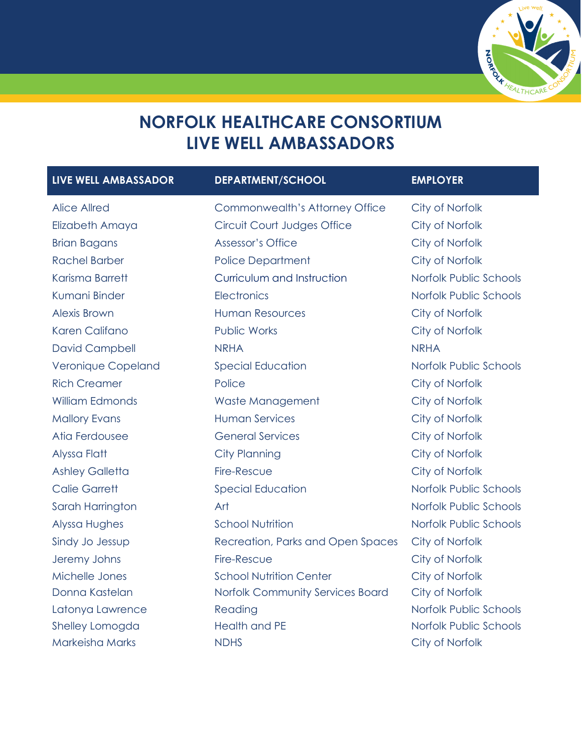

## **NORFOLK HEALTHCARE CONSORTIUM LIVE WELL AMBASSADORS**

| LIVE WELL AMBASSADOR   | <b>DEPARTMENT/SCHOOL</b>          | <b>EMPLOYER</b>        |
|------------------------|-----------------------------------|------------------------|
| <b>Alice Allred</b>    | Commonwealth's Attorney Office    | City of Norfolk        |
| Elizabeth Amaya        | Circuit Court Judges Office       | City of Norfolk        |
| <b>Brian Bagans</b>    | Assessor's Office                 | City of Norfolk        |
| <b>Rachel Barber</b>   | <b>Police Department</b>          | City of Norfolk        |
| Karisma Barrett        | Curriculum and Instruction        | Norfolk Public Schools |
| Kumani Binder          | Electronics                       | Norfolk Public Schools |
| <b>Alexis Brown</b>    | <b>Human Resources</b>            | City of Norfolk        |
| Karen Califano         | <b>Public Works</b>               | City of Norfolk        |
| <b>David Campbell</b>  | <b>NRHA</b>                       | <b>NRHA</b>            |
| Veronique Copeland     | <b>Special Education</b>          | Norfolk Public Schools |
| <b>Rich Creamer</b>    | Police                            | City of Norfolk        |
| <b>William Edmonds</b> | Waste Management                  | City of Norfolk        |
| <b>Mallory Evans</b>   | <b>Human Services</b>             | City of Norfolk        |
| Atia Ferdousee         | <b>General Services</b>           | City of Norfolk        |
| Alyssa Flatt           | <b>City Planning</b>              | City of Norfolk        |
| <b>Ashley Galletta</b> | Fire-Rescue                       | City of Norfolk        |
| <b>Calie Garrett</b>   | <b>Special Education</b>          | Norfolk Public Schools |
| Sarah Harrington       | Art                               | Norfolk Public Schools |
| Alyssa Hughes          | <b>School Nutrition</b>           | Norfolk Public Schools |
| Sindy Jo Jessup        | Recreation, Parks and Open Spaces | City of Norfolk        |
| Jeremy Johns           | Fire-Rescue                       | City of Norfolk        |
| Michelle Jones         | <b>School Nutrition Center</b>    | City of Norfolk        |
| Donna Kastelan         | Norfolk Community Services Board  | City of Norfolk        |
| Latonya Lawrence       | Reading                           | Norfolk Public Schools |
| Shelley Lomogda        | <b>Health and PE</b>              | Norfolk Public Schools |
| Markeisha Marks        | <b>NDHS</b>                       | City of Norfolk        |